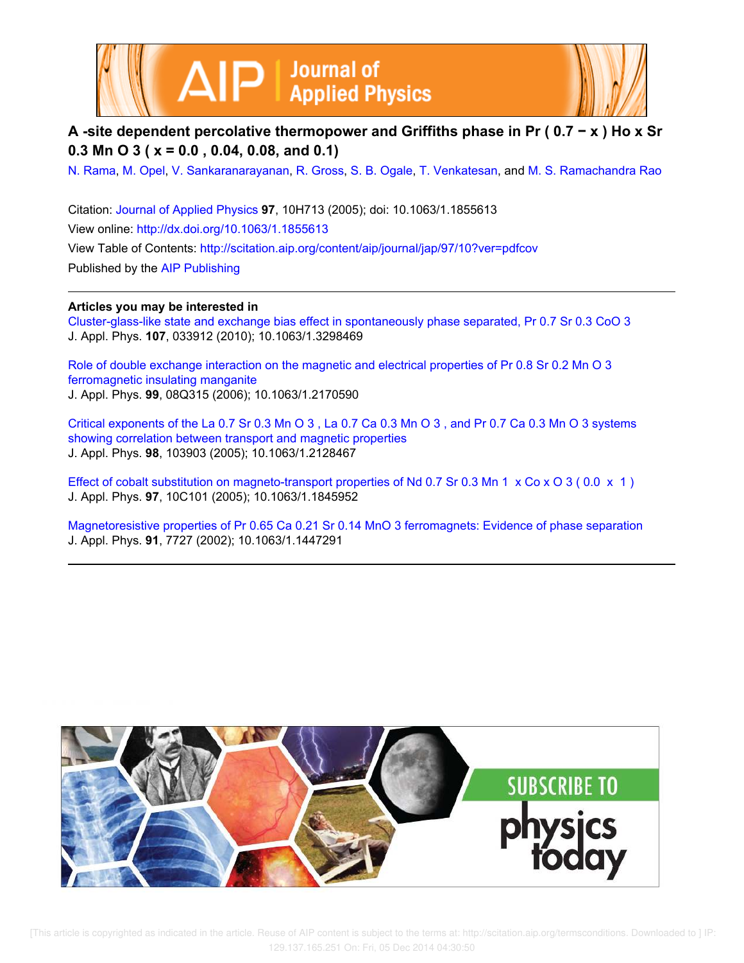



**A -site dependent percolative thermopower and Griffiths phase in Pr ( 0.7 − x ) Ho x Sr 0.3 Mn O 3 ( x = 0.0 , 0.04, 0.08, and 0.1)**

N. Rama, M. Opel, V. Sankaranarayanan, R. Gross, S. B. Ogale, T. Venkatesan, and M. S. Ramachandra Rao

Citation: Journal of Applied Physics **97**, 10H713 (2005); doi: 10.1063/1.1855613 View online: http://dx.doi.org/10.1063/1.1855613 View Table of Contents: http://scitation.aip.org/content/aip/journal/jap/97/10?ver=pdfcov Published by the AIP Publishing

## **Articles you may be interested in**

Cluster-glass-like state and exchange bias effect in spontaneously phase separated, Pr 0.7 Sr 0.3 CoO 3 J. Appl. Phys. **107**, 033912 (2010); 10.1063/1.3298469

Role of double exchange interaction on the magnetic and electrical properties of Pr 0.8 Sr 0.2 Mn O 3 ferromagnetic insulating manganite J. Appl. Phys. **99**, 08Q315 (2006); 10.1063/1.2170590

Critical exponents of the La 0.7 Sr 0.3 Mn O 3 , La 0.7 Ca 0.3 Mn O 3 , and Pr 0.7 Ca 0.3 Mn O 3 systems showing correlation between transport and magnetic properties J. Appl. Phys. **98**, 103903 (2005); 10.1063/1.2128467

Effect of cobalt substitution on magneto-transport properties of Nd 0.7 Sr 0.3 Mn 1  $\times$  Co  $\times$  O 3 (0.0  $\times$  1) J. Appl. Phys. **97**, 10C101 (2005); 10.1063/1.1845952

Magnetoresistive properties of Pr 0.65 Ca 0.21 Sr 0.14 MnO 3 ferromagnets: Evidence of phase separation J. Appl. Phys. **91**, 7727 (2002); 10.1063/1.1447291



 [This article is copyrighted as indicated in the article. Reuse of AIP content is subject to the terms at: http://scitation.aip.org/termsconditions. Downloaded to ] IP: 129.137.165.251 On: Fri, 05 Dec 2014 04:30:50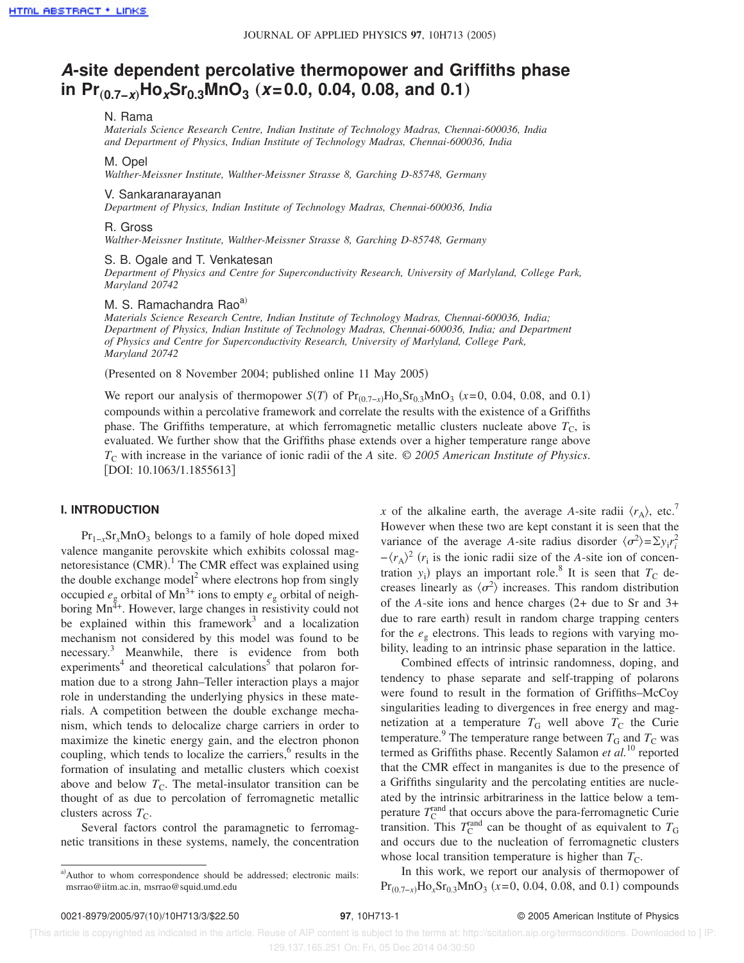# **A-site dependent percolative thermopower and Griffiths phase in Pr**"**0.7−x**…**HoxSr0.3MnO<sup>3</sup>** "**x=0.0, 0.04, 0.08, and 0.1**…

#### N. Rama

*Materials Science Research Centre, Indian Institute of Technology Madras, Chennai-600036, India and Department of Physics, Indian Institute of Technology Madras, Chennai-600036, India*

## M. Opel

*Walther-Meissner Institute, Walther-Meissner Strasse 8, Garching D-85748, Germany*

#### V. Sankaranarayanan

*Department of Physics, Indian Institute of Technology Madras, Chennai-600036, India*

#### R. Gross

*Walther-Meissner Institute, Walther-Meissner Strasse 8, Garching D-85748, Germany*

S. B. Ogale and T. Venkatesan

*Department of Physics and Centre for Superconductivity Research, University of Marlyland, College Park, Maryland 20742*

## M. S. Ramachandra Rao<sup>a)</sup>

*Materials Science Research Centre, Indian Institute of Technology Madras, Chennai-600036, India; Department of Physics, Indian Institute of Technology Madras, Chennai-600036, India; and Department of Physics and Centre for Superconductivity Research, University of Marlyland, College Park, Maryland 20742*

(Presented on 8 November 2004; published online 11 May 2005)

We report our analysis of thermopower *S*(*T*) of Pr<sub>(0.7−*x*)</sub>Ho<sub>x</sub>Sr<sub>0.3</sub>MnO<sub>3</sub> (*x*=0, 0.04, 0.08, and 0.1) compounds within a percolative framework and correlate the results with the existence of a Griffiths phase. The Griffiths temperature, at which ferromagnetic metallic clusters nucleate above  $T_c$ , is evaluated. We further show that the Griffiths phase extends over a higher temperature range above *T*<sub>C</sub> with increase in the variance of ionic radii of the *A* site. © 2005 *American Institute of Physics*. [DOI: 10.1063/1.1855613]

### **I. INTRODUCTION**

Pr<sub>1−*x*</sub>Sr<sub>*x*</sub>MnO<sub>3</sub> belongs to a family of hole doped mixed valence manganite perovskite which exhibits colossal magnetoresistance  $(CMR)$ .<sup>1</sup> The CMR effect was explained using the double exchange model<sup>2</sup> where electrons hop from singly occupied  $e_g$  orbital of Mn<sup>3+</sup> ions to empty  $e_g$  orbital of neighboring  $Mn^{\tilde{4}+}$ . However, large changes in resistivity could not be explained within this framework<sup>3</sup> and a localization mechanism not considered by this model was found to be necessary. <sup>3</sup> Meanwhile, there is evidence from both experiments<sup>4</sup> and theoretical calculations<sup>5</sup> that polaron formation due to a strong Jahn–Teller interaction plays a major role in understanding the underlying physics in these materials. A competition between the double exchange mechanism, which tends to delocalize charge carriers in order to maximize the kinetic energy gain, and the electron phonon coupling, which tends to localize the carriers, $6$  results in the formation of insulating and metallic clusters which coexist above and below  $T_{\rm C}$ . The metal-insulator transition can be thought of as due to percolation of ferromagnetic metallic clusters across  $T_{\rm C}$ .

Several factors control the paramagnetic to ferromagnetic transitions in these systems, namely, the concentration *x* of the alkaline earth, the average *A*-site radii  $\langle r_A \rangle$ , etc.<sup>7</sup> However when these two are kept constant it is seen that the variance of the average *A*-site radius disorder  $\langle \sigma^2 \rangle = \sum y_i r_i^2$  $-\langle r_A \rangle^2$  ( $r_i$  is the ionic radii size of the *A*-site ion of concentration  $y_i$ ) plays an important role.<sup>8</sup> It is seen that  $T_C$  decreases linearly as  $\langle \sigma^2 \rangle$  increases. This random distribution of the *A*-site ions and hence charges  $(2 +$  due to Sr and 3+ due to rare earth) result in random charge trapping centers for the  $e_g$  electrons. This leads to regions with varying mobility, leading to an intrinsic phase separation in the lattice.

Combined effects of intrinsic randomness, doping, and tendency to phase separate and self-trapping of polarons were found to result in the formation of Griffiths–McCoy singularities leading to divergences in free energy and magnetization at a temperature  $T_G$  well above  $T_C$  the Curie temperature.<sup>9</sup> The temperature range between  $T_G$  and  $T_C$  was termed as Griffiths phase. Recently Salamon *et al.*<sup>10</sup> reported that the CMR effect in manganites is due to the presence of a Griffiths singularity and the percolating entities are nucleated by the intrinsic arbitrariness in the lattice below a temperature  $T_{\rm C}^{\rm rand}$  that occurs above the para-ferromagnetic Curie transition. This  $T_{\rm C}^{\rm rand}$  can be thought of as equivalent to  $T_{\rm G}$ and occurs due to the nucleation of ferromagnetic clusters whose local transition temperature is higher than  $T_{\text{C}}$ .

In this work, we report our analysis of thermopower of  $Pr_{(0.7-x)}Ho_xSr_{0.3}MnO_3$  ( $x=0, 0.04, 0.08,$  and 0.1) compounds

a)Author to whom correspondence should be addressed; electronic mails: msrrao@iitm.ac.in, msrrao@squid.umd.edu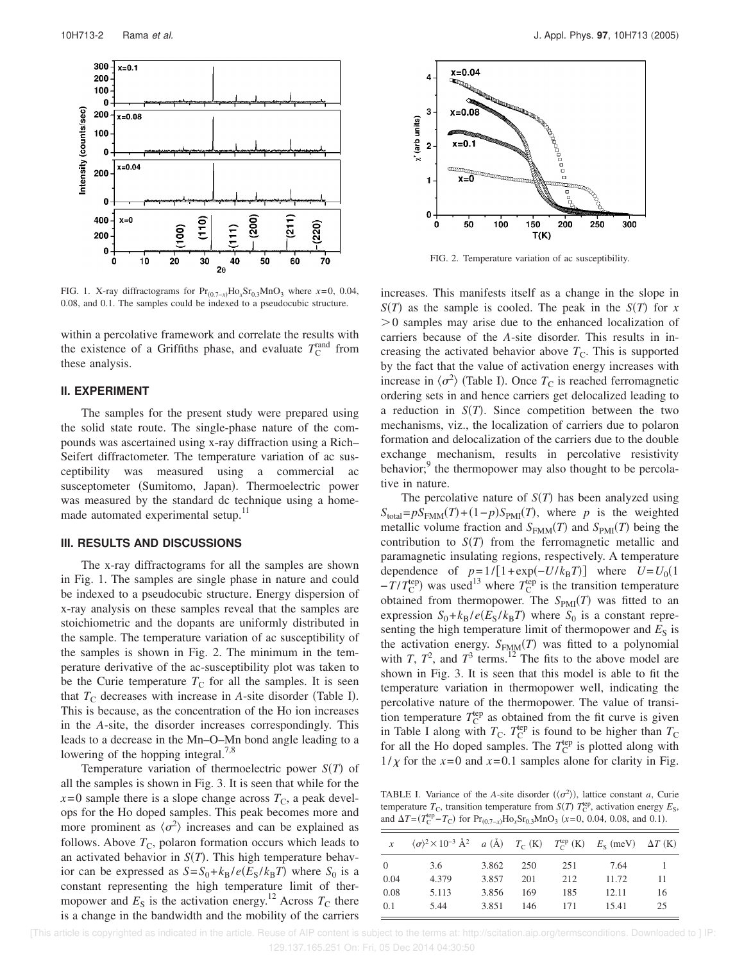

FIG. 1. X-ray diffractograms for Pr<sub>(0.7-*x*)</sub>Ho<sub>x</sub>Sr<sub>0.3</sub>MnO<sub>3</sub> where *x*=0, 0.04, 0.08, and 0.1. The samples could be indexed to a pseudocubic structure.

within a percolative framework and correlate the results with the existence of a Griffiths phase, and evaluate  $T_{\rm C}^{\rm rand}$  from these analysis.

#### **II. EXPERIMENT**

The samples for the present study were prepared using the solid state route. The single-phase nature of the compounds was ascertained using x-ray diffraction using a Rich– Seifert diffractometer. The temperature variation of ac susceptibility was measured using a commercial susceptometer (Sumitomo, Japan). Thermoelectric power was measured by the standard dc technique using a homemade automated experimental setup.<sup>11</sup>

#### **III. RESULTS AND DISCUSSIONS**

The x-ray diffractograms for all the samples are shown in Fig. 1. The samples are single phase in nature and could be indexed to a pseudocubic structure. Energy dispersion of x-ray analysis on these samples reveal that the samples are stoichiometric and the dopants are uniformly distributed in the sample. The temperature variation of ac susceptibility of the samples is shown in Fig. 2. The minimum in the temperature derivative of the ac-susceptibility plot was taken to be the Curie temperature  $T<sub>C</sub>$  for all the samples. It is seen that  $T_{\rm C}$  decreases with increase in *A*-site disorder (Table I). This is because, as the concentration of the Ho ion increases in the *A*-site, the disorder increases correspondingly. This leads to a decrease in the Mn–O–Mn bond angle leading to a lowering of the hopping integral.<sup>7,8</sup>

Temperature variation of thermoelectric power  $S(T)$  of all the samples is shown in Fig. 3. It is seen that while for the  $x=0$  sample there is a slope change across  $T_c$ , a peak develops for the Ho doped samples. This peak becomes more and more prominent as  $\langle \sigma^2 \rangle$  increases and can be explained as follows. Above  $T_{\rm C}$ , polaron formation occurs which leads to an activated behavior in  $S(T)$ . This high temperature behavior can be expressed as  $S = S_0 + k_B/e(E_S/k_B T)$  where  $S_0$  is a constant representing the high temperature limit of thermopower and  $E<sub>S</sub>$  is the activation energy.<sup>12</sup> Across  $T<sub>C</sub>$  there is a change in the bandwidth and the mobility of the carriers



FIG. 2. Temperature variation of ac susceptibility.

increases. This manifests itself as a change in the slope in  $S(T)$  as the sample is cooled. The peak in the  $S(T)$  for *x*  $>0$  samples may arise due to the enhanced localization of carriers because of the *A*-site disorder. This results in increasing the activated behavior above  $T<sub>C</sub>$ . This is supported by the fact that the value of activation energy increases with increase in  $\langle \sigma^2 \rangle$  (Table I). Once  $T_C$  is reached ferromagnetic ordering sets in and hence carriers get delocalized leading to a reduction in  $S(T)$ . Since competition between the two mechanisms, viz., the localization of carriers due to polaron formation and delocalization of the carriers due to the double exchange mechanism, results in percolative resistivity behavior;<sup>9</sup> the thermopower may also thought to be percolative in nature.

The percolative nature of  $S(T)$  has been analyzed using  $S_{total} = pS_{FMM}(T) + (1-p)S_{PMI}(T)$ , where *p* is the weighted metallic volume fraction and  $S_{FMM}(T)$  and  $S_{PMI}(T)$  being the contribution to  $S(T)$  from the ferromagnetic metallic and paramagnetic insulating regions, respectively. A temperature dependence of  $p=1/[1+\exp(-U/k_BT)]$  where  $U=U_0(1)$  $-\hat{T}/T_{\text{C}}^{\text{top}}$  was used<sup>13</sup> where  $T_{\text{C}}^{\text{top}}$  is the transition temperature obtained from thermopower. The  $S_{PMI}(T)$  was fitted to an expression  $S_0 + k_B/e(E_S/k_B T)$  where  $S_0$  is a constant representing the high temperature limit of thermopower and  $E<sub>S</sub>$  is the activation energy.  $S_{FMM}(T)$  was fitted to a polynomial with *T*,  $T^2$ , and  $T^3$  terms.<sup>12</sup> The fits to the above model are shown in Fig. 3. It is seen that this model is able to fit the temperature variation in thermopower well, indicating the percolative nature of the thermopower. The value of transition temperature  $T_{\rm C}^{\rm (ep)}$  as obtained from the fit curve is given in Table I along with  $T_{\rm C}$ .  $T_{\rm C}^{\rm top}$  is found to be higher than  $T_{\rm C}$ for all the Ho doped samples. The  $T_{\rm C}^{\rm{lep}}$  is plotted along with  $1/\chi$  for the  $x=0$  and  $x=0.1$  samples alone for clarity in Fig.

TABLE I. Variance of the *A*-site disorder  $(\langle \sigma^2 \rangle)$ , lattice constant *a*, Curie temperature  $T_c$ , transition temperature from  $S(T)$   $T_c^{\text{top}}$ , activation energy  $E_S$ , and  $\Delta T = (T_{\rm C}^{\rm top} - T_{\rm C})$  for Pr<sub>(0.7-*x*)</sub>Ho<sub>x</sub>Sr<sub>0.3</sub>MnO<sub>3</sub> (*x*=0, 0.04, 0.08, and 0.1).

| $\boldsymbol{x}$ | $\langle \sigma \rangle^2 \times 10^{-3}$ $\AA^2$ a $\langle \AA \rangle$ $T_C$ (K) $T_C^{top}$ (K) $E_S$ (meV) $\Delta T$ (K) |       |     |     |       |    |
|------------------|--------------------------------------------------------------------------------------------------------------------------------|-------|-----|-----|-------|----|
| $\Omega$         | 3.6                                                                                                                            | 3.862 | 250 | 251 | 7.64  |    |
| 0.04             | 4.379                                                                                                                          | 3.857 | 201 | 212 | 11.72 | 11 |
| 0.08             | 5.113                                                                                                                          | 3.856 | 169 | 185 | 12.11 | 16 |
| 0.1              | 5.44                                                                                                                           | 3.851 | 146 | 171 | 15.41 | 25 |